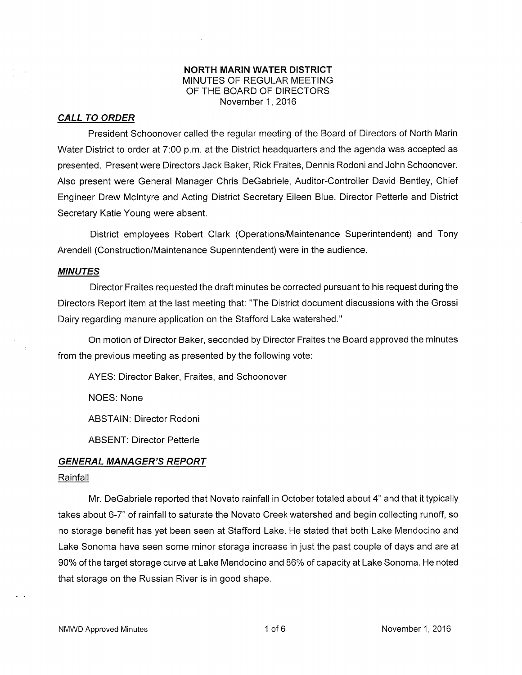## NORTH MARIN WATER DISTRICT MINUTES OF REGULAR MEETING OF THE BOARD OF DIRECTORS November 1,2016

## CALL TO ORDER

President Schoonover called the regular meeting of the Board of Directors of Notlh Marin Water District to order at 7:00 p.m. at the District headquarters and the agenda was accepted as presented. Present were Directors Jack Baker, Rick Fraites, Dennis Rodoni and John Schoonover. Also present were General Manager Chris DeGabriele, Auditor-Controller David Bentley, Chief Engineer Drew Mclntyre and Acting District Secretary Eileen Blue. Director Petterle and District Secretary Katie Young were absent.

District employees Robert Clark (Operations/Maintenance Superintendent) and Tony Arendell (Construction/Maintenance Superintendent) were in the audience.

## MINUTES

Director Fraites requested the draft minutes be corrected pursuant to his request during the Directors Report item at the last meeting that: "The District document discussions with the Grossi Dairy regarding manure application on the Stafford Lake watershed."

On motion of Director Baker, seconded by Director Fraites the Board approved the minutes from the previous meeting as presented by the following vote:

AYES: Director Baker, Fraites, and Schoonover

NOES: None

ABSTAIN: Director Rodoni

ABSENT: Director Petterle

#### GENERAL MANAGER'S REPORT

## **Rainfall**

Mr. DeGabriele reported that Novato rainfall in October totaled about 4" and that it typically takes about 6-7" of rainfall to saturate the Novato Creek watershed and begin collecting runoff, so no storage benefit has yet been seen at Stafford Lake. He stated that both Lake Mendocino and Lake Sonoma have seen some minor storage increase in just the past couple of days and are at 90% of the target storage curve at Lake Mendocino and 86% of capacity at Lake Sonoma. He noted that storage on the Russian River is in good shape.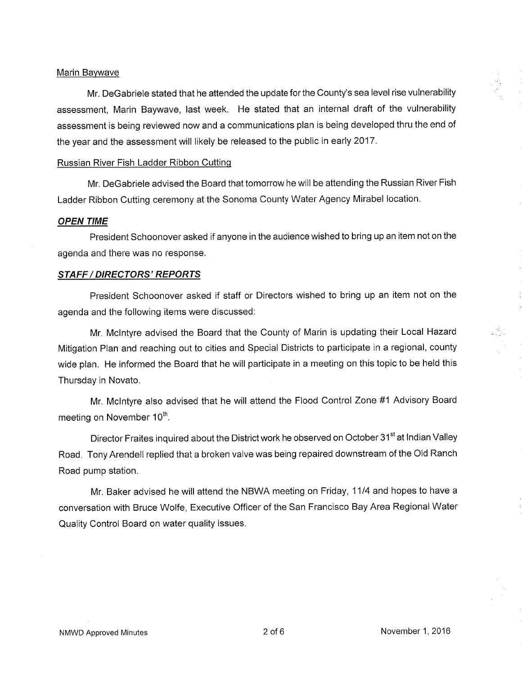### Marin Baywave

Mr. DeGabriele stated that he attended the update for the County's sea level rise vulnerability assessment, Marin Baywave, last week. He stated that an internal draft of the vulnerability assessment is being reviewed now and a communications plan is being developed thru the end of the year and the assessment will likely be released to the public in early 2017.

### Russian River Fish Ladder Ribbon Cutting

Mr. DeGabriele advised the Board that tomorrow he will be attending the Russian River Fish Ladder Ribbon Cutting ceremony at the Sonoma County Water Agency Mirabel location.

#### OPEN TIME

President Schoonover asked if anyone in the audience wished to bring up an item not on the agenda and there was no response.

#### STAFF / DIRECTORS' REPORTS

President Schoonover asked if staff or Directors wished to bring up an item not on the agenda and the following items were discussed:

Mr, Mclntyre advised the Board that the County of Marin is updating their Local Hazard Mitigation Plan and reaching out to cities and Special Districts to participate in a regional, county wide plan. He informed the Board that he will participate in a meeting on this topic to be held this Thursday in Novato.

Mr. Mclntyre also advised that he will attend the Flood Control Zone #1 Advisory Board meeting on November 10<sup>th</sup>.

Director Fraites inquired about the District work he observed on October 31<sup>st</sup> at Indian Valley Road. Tony Arendell replied that a broken valve was being repaired downstream of the Old Ranch Road pump station.

Mr. Baker advised he will attend the NBWA meeting on Friday, 1114 and hopes to have a conversation with Bruce Wolfe, Executive Officer of the San Francisco Bay Area Regional Water Quality Control Board on water quality issues.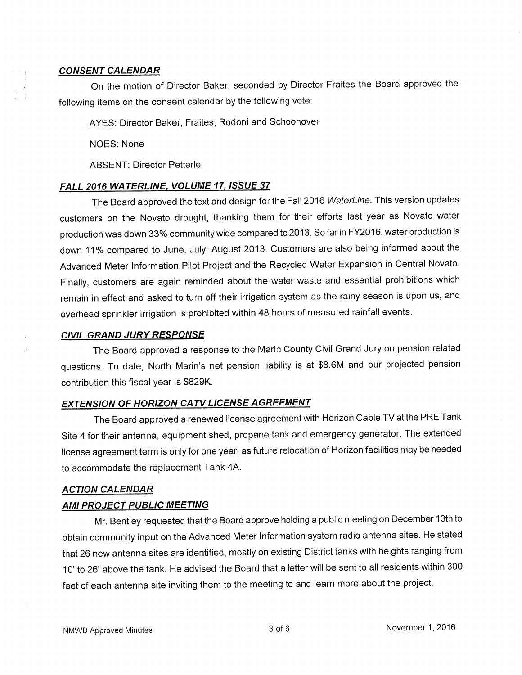### CONSENT CALENDAR

On the motion of Director Baker, seconded by Director Fraites the Board approved the following items on the consent calendar by the following vote:

AYES: Director Baker, Fraites, Rodoni and Schoonover

NOES: None

ABSENT: Director Petterle

### FALL 2016 WATERLINE, VOLUME 17, ISSUE 37

The Board approved the text and design for the Fall 2016 WaterLine. This version updates customers on the Novato drought, thanking them for their efforts last year as Novato water production was down 33% community wide compared to2013. So far in FY2016, water production is down 11% compared to June, July, August 2013. Customers are also being informed about the Advanced Meter lnformation Pilot Project and the Recycled Water Expansion in Central Novato. Finally, customers are again reminded about the water waste and essential prohibitions which remain in effect and asked to turn off their irrigation system as the rainy season is upon us, and overhead sprinkler irrigation is prohibited within 48 hours of measured rainfall events.

### CIVIL GRAND JURY RESPONSE

The Board approved a response to the Marin County Civil Grand Jury on pension related questions. To date, North Marin's net pension liability is at \$8.6M and our projected pension contribution this fiscal year is \$829K,

# EXTENSION OF HORIZON CATV LICENSE AGREEMENT

The Board approved a renewed license agreement with Horizon Cable TV at the PRE Tank Site 4 for their antenna, equipment shed, propane tank and emergency generator. The extended license agreement term is only for one year, as future relocation of Horizon facilities may be needed to accommodate the replacement Tank 44.

#### ACTION CALENDAR

### **AMI PROJECT PUBLIC MEETING**

Mr. Bentley requested that the Board approve holding a public meeting on December 13th to obtain community input on the Advanced Meter lnformation system radio antenna sites. He stated that 26 new antenna sites are identified, mostly on existing District tanks with heights ranging from 10' to 26' above the tank. He advised the Board that a letter will be sent to all residents within 300 feet of each antenna site inviting them to the meeting to and learn more about the project.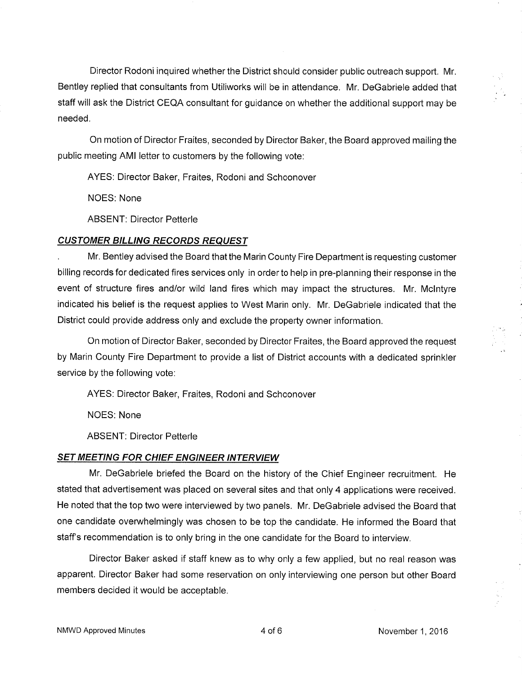Director Rodoni inquired whether the District should consider public outreach supporl. Mr. Bentley replied that consultants from Utiliworks will be in attendance. Mr. DeGabriele added that staff will ask the District CEQA consultant for guidance on whether the additional support may be needed.

On motion of Director Fraites, seconded by Director Baker, the Board approved mailing the public meeting AMI letter to customers by the following vote:

AYES: Director Baker, Fraites, Rodoni and Schoonover

NOES: None

ABSENT: Director Petterle

## CUSTOMER BILLING RECORDS REQUEST

. Mr. Bentley advised the Board that the Marin County Fire Department is requesting customer billing records for dedicated fires services only in order to help in pre-planning their response in the event of structure fires and/or wild land fires which may impact the structures. Mr. Mclntyre indicated his belief is the request applies to West Marin only. Mr. DeGabriele indicated that the District could provide address only and exclude the property owner information.

On motion of Director Baker, seconded by Director Fraites, the Board approved the request by Marin County Fire Department to provide a list of District accounts with a dedicated sprinkler service by the following vote:

AYES: Director Baker, Fraites, Rodoni and Schoonover

NOES: None

ABSENT: Director Petterle

### **SET MEETING FOR CHIEF ENGINEER INTERVIEW**

Mr. DeGabriele briefed the Board on the history of the Chief Engineer recruitment. He stated that advertisement was placed on several sites and that only 4 applications were received. He noted that the top two were interviewed by two panels. Mr. DeGabriele advised the Board that one candidate overwhelmingly was chosen to be top the candidate. He informed the Board that staff's recommendation is to only bring in the one candidate for the Board to interview.

Director Baker asked if staff knew as to why only a few applied, but no real reason was apparent. Director Baker had some reservation on only interviewing one person but other Board members decided it would be acceptable.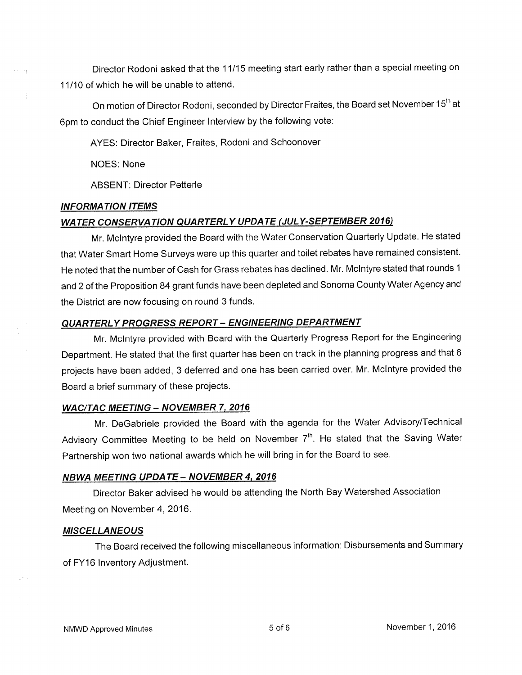Director Rodoni asked that the 11115 meeting start early rather than a special meeting on 11110 of which he will be unable to attend.

On motion of Director Rodoni, seconded by Director Fraites, the Board set November 15<sup>th</sup> at 6pm to conduct the Chief Engineer lnterview by the following vote:

AYES: Director Baker, Fraites, Rodoni and Schoonover

NOES: None

ABSENT: Director Petterle

# **INFORMATION ITEMS**

# WATER CONSERVATION QUARTERLY UPDATE (JULY-SEPTEMBER 2016)

Mr. Mclntyre provided the Board with the Water Conservation Quarterly Update. He stated that Water Smart Home Surveys were up this quarter and toilet rebates have remained consistent. He noted that the number of Cash for Grass rebates has declined. Mr. Mclntyre stated that rounds <sup>I</sup> and 2 of the Proposition 84 grant funds have been depleted and Sonoma County Water Agency and the District are now focusing on round 3 funds.

# QUARTERLY PROGRESS REPORT - ENGINEERING DEPARTMENT

Mr. Mclntyre provided with Board with the Quarterly Progress Report for the Engineering Department. He stated that the first quarter has been on track in the planning progress and that <sup>6</sup> projects have been added, 3 deferred and one has been carried over. Mr. Mclntyre provided the Board a brief summary of these projects.

# WAC/TAC MEETING - NOVEMBER 7, 2016

Mr. DeGabriele provided the Board with the agenda for the Water Advisory/Technical Advisory Committee Meeting to be held on November  $7<sup>th</sup>$ . He stated that the Saving Water Partnership won two national awards which he will bring in for the Board to see.

# **NBWA MEETING UPDATE - NOVEMBER 4, 2016**

Director Baker advised he would be attending the North Bay Watershed Association Meeting on November 4, 2016.

# **MISCELLANEOUS**

The Board received the following miscellaneous information: Disbursements and Summary of FY16 lnventory Adjustment.